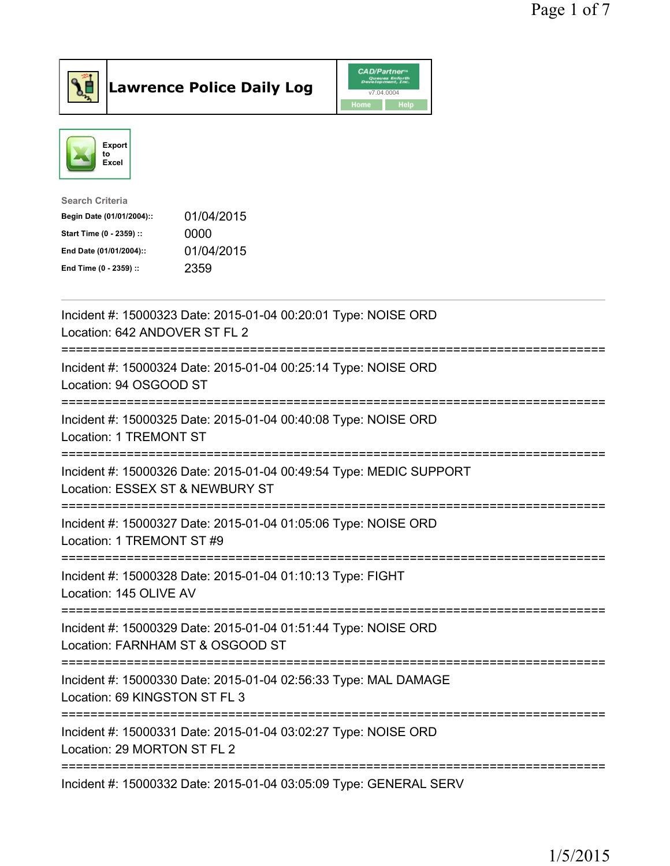



| <b>Search Criteria</b>    |            |
|---------------------------|------------|
| Begin Date (01/01/2004):: | 01/04/2015 |
| Start Time (0 - 2359) ::  | 0000       |
| End Date (01/01/2004)::   | 01/04/2015 |
| End Time (0 - 2359) ::    | 2359       |
|                           |            |

| Incident #: 15000323 Date: 2015-01-04 00:20:01 Type: NOISE ORD<br>Location: 642 ANDOVER ST FL 2                                                    |
|----------------------------------------------------------------------------------------------------------------------------------------------------|
| Incident #: 15000324 Date: 2015-01-04 00:25:14 Type: NOISE ORD<br>Location: 94 OSGOOD ST                                                           |
| Incident #: 15000325 Date: 2015-01-04 00:40:08 Type: NOISE ORD<br>Location: 1 TREMONT ST                                                           |
| Incident #: 15000326 Date: 2015-01-04 00:49:54 Type: MEDIC SUPPORT<br>Location: ESSEX ST & NEWBURY ST<br>=========================<br>------------ |
| Incident #: 15000327 Date: 2015-01-04 01:05:06 Type: NOISE ORD<br>Location: 1 TREMONT ST #9                                                        |
| Incident #: 15000328 Date: 2015-01-04 01:10:13 Type: FIGHT<br>Location: 145 OLIVE AV                                                               |
| Incident #: 15000329 Date: 2015-01-04 01:51:44 Type: NOISE ORD<br>Location: FARNHAM ST & OSGOOD ST<br>=============================                |
| Incident #: 15000330 Date: 2015-01-04 02:56:33 Type: MAL DAMAGE<br>Location: 69 KINGSTON ST FL 3                                                   |
| Incident #: 15000331 Date: 2015-01-04 03:02:27 Type: NOISE ORD<br>Location: 29 MORTON ST FL 2                                                      |
| Incident #: 15000332 Date: 2015-01-04 03:05:09 Type: GENERAL SERV                                                                                  |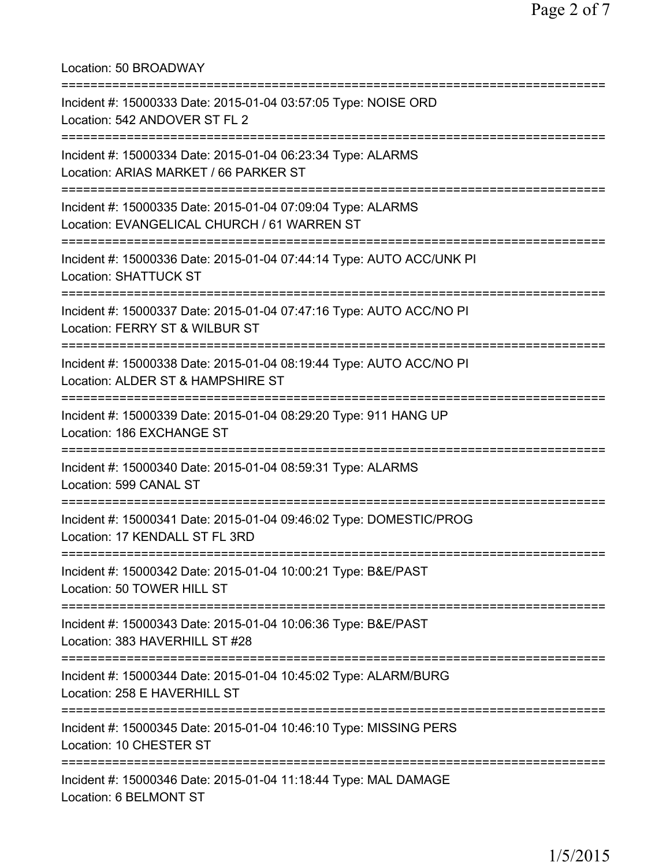| Location: 50 BROADWAY<br>===================================                                                                                   |
|------------------------------------------------------------------------------------------------------------------------------------------------|
| Incident #: 15000333 Date: 2015-01-04 03:57:05 Type: NOISE ORD<br>Location: 542 ANDOVER ST FL 2<br>=====================================       |
| Incident #: 15000334 Date: 2015-01-04 06:23:34 Type: ALARMS<br>Location: ARIAS MARKET / 66 PARKER ST<br>;===================================== |
| Incident #: 15000335 Date: 2015-01-04 07:09:04 Type: ALARMS<br>Location: EVANGELICAL CHURCH / 61 WARREN ST                                     |
| Incident #: 15000336 Date: 2015-01-04 07:44:14 Type: AUTO ACC/UNK PI<br><b>Location: SHATTUCK ST</b>                                           |
| Incident #: 15000337 Date: 2015-01-04 07:47:16 Type: AUTO ACC/NO PI<br>Location: FERRY ST & WILBUR ST                                          |
| Incident #: 15000338 Date: 2015-01-04 08:19:44 Type: AUTO ACC/NO PI<br>Location: ALDER ST & HAMPSHIRE ST                                       |
| Incident #: 15000339 Date: 2015-01-04 08:29:20 Type: 911 HANG UP<br>Location: 186 EXCHANGE ST                                                  |
| Incident #: 15000340 Date: 2015-01-04 08:59:31 Type: ALARMS<br>Location: 599 CANAL ST                                                          |
| Incident #: 15000341 Date: 2015-01-04 09:46:02 Type: DOMESTIC/PROG<br>Location: 17 KENDALL ST FL 3RD                                           |
| ======================================<br>Incident #: 15000342 Date: 2015-01-04 10:00:21 Type: B&E/PAST<br>Location: 50 TOWER HILL ST          |
| Incident #: 15000343 Date: 2015-01-04 10:06:36 Type: B&E/PAST<br>Location: 383 HAVERHILL ST #28                                                |
| Incident #: 15000344 Date: 2015-01-04 10:45:02 Type: ALARM/BURG<br>Location: 258 E HAVERHILL ST                                                |
| Incident #: 15000345 Date: 2015-01-04 10:46:10 Type: MISSING PERS<br>Location: 10 CHESTER ST                                                   |
| Incident #: 15000346 Date: 2015-01-04 11:18:44 Type: MAL DAMAGE<br>Location: 6 BELMONT ST                                                      |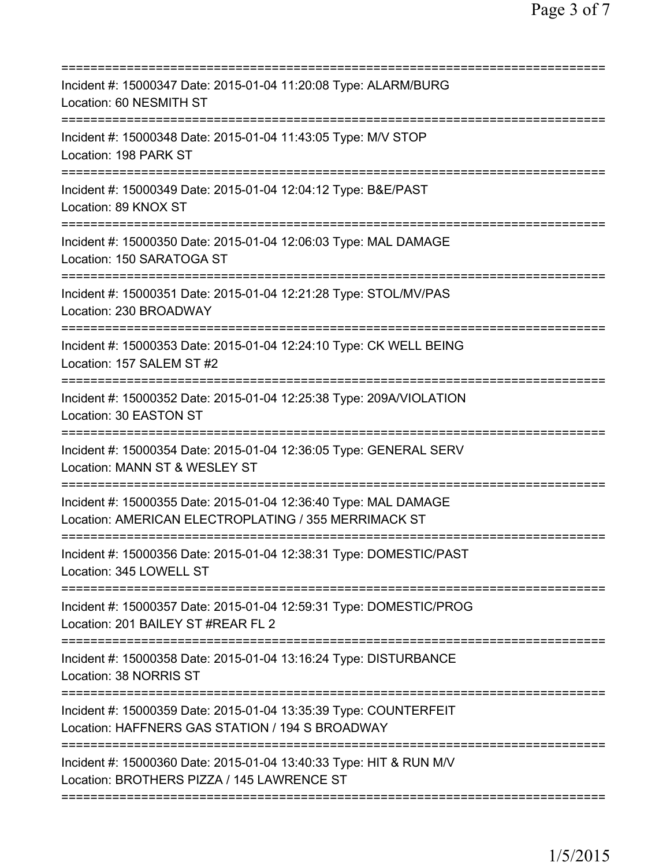| Incident #: 15000347 Date: 2015-01-04 11:20:08 Type: ALARM/BURG<br>Location: 60 NESMITH ST                                            |
|---------------------------------------------------------------------------------------------------------------------------------------|
| Incident #: 15000348 Date: 2015-01-04 11:43:05 Type: M/V STOP<br>Location: 198 PARK ST                                                |
| Incident #: 15000349 Date: 2015-01-04 12:04:12 Type: B&E/PAST<br>Location: 89 KNOX ST                                                 |
| Incident #: 15000350 Date: 2015-01-04 12:06:03 Type: MAL DAMAGE<br>Location: 150 SARATOGA ST                                          |
| Incident #: 15000351 Date: 2015-01-04 12:21:28 Type: STOL/MV/PAS<br>Location: 230 BROADWAY                                            |
| Incident #: 15000353 Date: 2015-01-04 12:24:10 Type: CK WELL BEING<br>Location: 157 SALEM ST #2                                       |
| Incident #: 15000352 Date: 2015-01-04 12:25:38 Type: 209A/VIOLATION<br>Location: 30 EASTON ST                                         |
| Incident #: 15000354 Date: 2015-01-04 12:36:05 Type: GENERAL SERV<br>Location: MANN ST & WESLEY ST                                    |
| Incident #: 15000355 Date: 2015-01-04 12:36:40 Type: MAL DAMAGE<br>Location: AMERICAN ELECTROPLATING / 355 MERRIMACK ST               |
| Incident #: 15000356 Date: 2015-01-04 12:38:31 Type: DOMESTIC/PAST<br>Location: 345 LOWELL ST<br>;=================================== |
| Incident #: 15000357 Date: 2015-01-04 12:59:31 Type: DOMESTIC/PROG<br>Location: 201 BAILEY ST #REAR FL 2                              |
| Incident #: 15000358 Date: 2015-01-04 13:16:24 Type: DISTURBANCE<br>Location: 38 NORRIS ST                                            |
| Incident #: 15000359 Date: 2015-01-04 13:35:39 Type: COUNTERFEIT<br>Location: HAFFNERS GAS STATION / 194 S BROADWAY                   |
| Incident #: 15000360 Date: 2015-01-04 13:40:33 Type: HIT & RUN M/V<br>Location: BROTHERS PIZZA / 145 LAWRENCE ST                      |
|                                                                                                                                       |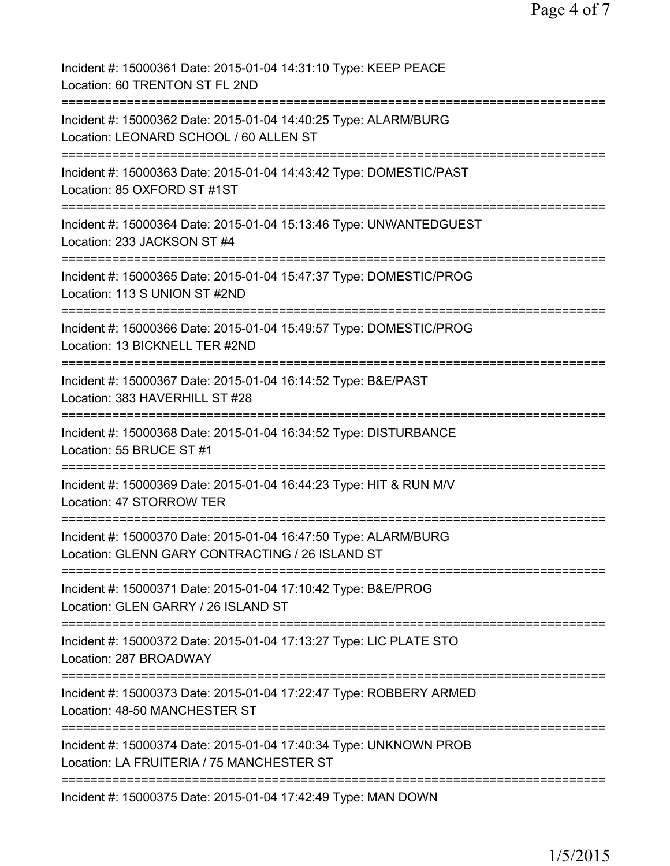| Incident #: 15000361 Date: 2015-01-04 14:31:10 Type: KEEP PEACE<br>Location: 60 TRENTON ST FL 2ND                  |
|--------------------------------------------------------------------------------------------------------------------|
| Incident #: 15000362 Date: 2015-01-04 14:40:25 Type: ALARM/BURG<br>Location: LEONARD SCHOOL / 60 ALLEN ST          |
| Incident #: 15000363 Date: 2015-01-04 14:43:42 Type: DOMESTIC/PAST<br>Location: 85 OXFORD ST #1ST                  |
| Incident #: 15000364 Date: 2015-01-04 15:13:46 Type: UNWANTEDGUEST<br>Location: 233 JACKSON ST #4                  |
| Incident #: 15000365 Date: 2015-01-04 15:47:37 Type: DOMESTIC/PROG<br>Location: 113 S UNION ST #2ND                |
| Incident #: 15000366 Date: 2015-01-04 15:49:57 Type: DOMESTIC/PROG<br>Location: 13 BICKNELL TER #2ND               |
| Incident #: 15000367 Date: 2015-01-04 16:14:52 Type: B&E/PAST<br>Location: 383 HAVERHILL ST #28                    |
| Incident #: 15000368 Date: 2015-01-04 16:34:52 Type: DISTURBANCE<br>Location: 55 BRUCE ST #1                       |
| Incident #: 15000369 Date: 2015-01-04 16:44:23 Type: HIT & RUN M/V<br>Location: 47 STORROW TER                     |
| Incident #: 15000370 Date: 2015-01-04 16:47:50 Type: ALARM/BURG<br>Location: GLENN GARY CONTRACTING / 26 ISLAND ST |
| Incident #: 15000371 Date: 2015-01-04 17:10:42 Type: B&E/PROG<br>Location: GLEN GARRY / 26 ISLAND ST               |
| Incident #: 15000372 Date: 2015-01-04 17:13:27 Type: LIC PLATE STO<br>Location: 287 BROADWAY                       |
| Incident #: 15000373 Date: 2015-01-04 17:22:47 Type: ROBBERY ARMED<br>Location: 48-50 MANCHESTER ST                |
| Incident #: 15000374 Date: 2015-01-04 17:40:34 Type: UNKNOWN PROB<br>Location: LA FRUITERIA / 75 MANCHESTER ST     |
| Incident #: 15000375 Date: 2015-01-04 17:42:49 Type: MAN DOWN                                                      |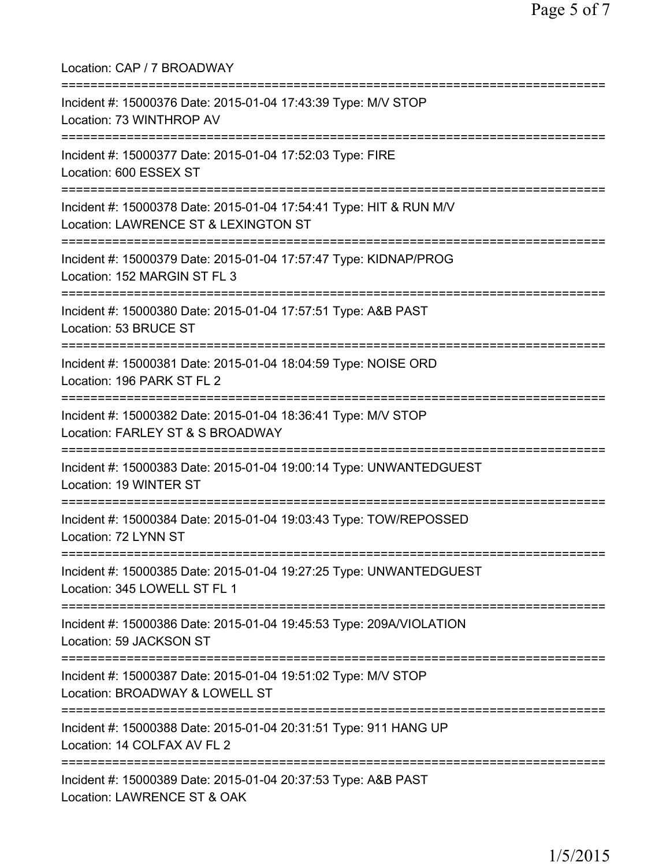Location: CAP / 7 BROADWAY =========================================================================== Incident #: 15000376 Date: 2015-01-04 17:43:39 Type: M/V STOP Location: 73 WINTHROP AV =========================================================================== Incident #: 15000377 Date: 2015-01-04 17:52:03 Type: FIRE Location: 600 ESSEX ST =========================================================================== Incident #: 15000378 Date: 2015-01-04 17:54:41 Type: HIT & RUN M/V Location: LAWRENCE ST & LEXINGTON ST =========================================================================== Incident #: 15000379 Date: 2015-01-04 17:57:47 Type: KIDNAP/PROG Location: 152 MARGIN ST FL 3 =========================================================================== Incident #: 15000380 Date: 2015-01-04 17:57:51 Type: A&B PAST Location: 53 BRUCE ST =========================================================================== Incident #: 15000381 Date: 2015-01-04 18:04:59 Type: NOISE ORD Location: 196 PARK ST FL 2 =========================================================================== Incident #: 15000382 Date: 2015-01-04 18:36:41 Type: M/V STOP Location: FARLEY ST & S BROADWAY =========================================================================== Incident #: 15000383 Date: 2015-01-04 19:00:14 Type: UNWANTEDGUEST Location: 19 WINTER ST =========================================================================== Incident #: 15000384 Date: 2015-01-04 19:03:43 Type: TOW/REPOSSED Location: 72 LYNN ST =========================================================================== Incident #: 15000385 Date: 2015-01-04 19:27:25 Type: UNWANTEDGUEST Location: 345 LOWELL ST FL 1 =========================================================================== Incident #: 15000386 Date: 2015-01-04 19:45:53 Type: 209A/VIOLATION Location: 59 JACKSON ST =========================================================================== Incident #: 15000387 Date: 2015-01-04 19:51:02 Type: M/V STOP Location: BROADWAY & LOWELL ST =========================================================================== Incident #: 15000388 Date: 2015-01-04 20:31:51 Type: 911 HANG UP Location: 14 COLFAX AV FL 2 =========================================================================== Incident #: 15000389 Date: 2015-01-04 20:37:53 Type: A&B PAST Location: LAWRENCE ST & OAK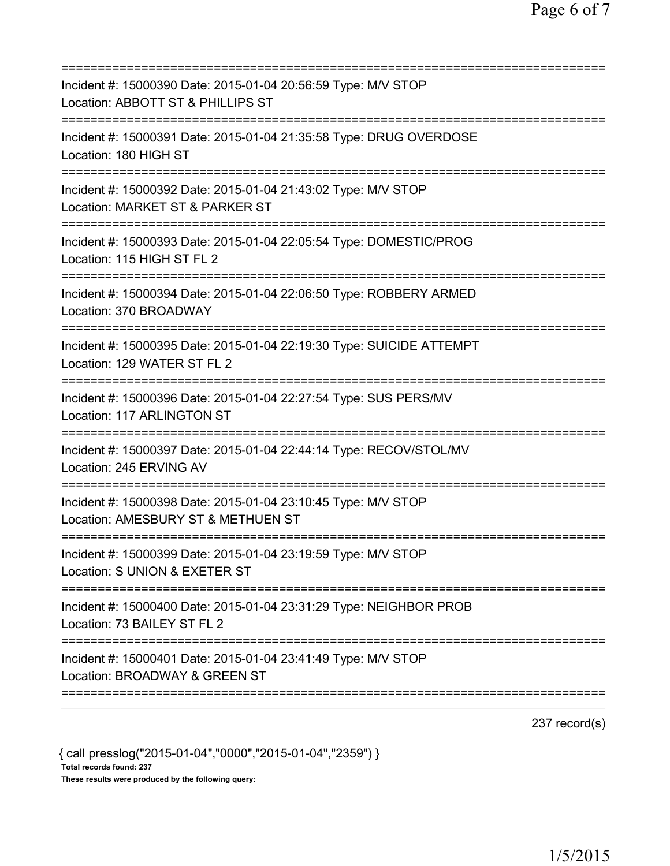| Incident #: 15000390 Date: 2015-01-04 20:56:59 Type: M/V STOP<br>Location: ABBOTT ST & PHILLIPS ST<br>================<br>=========================== |
|-------------------------------------------------------------------------------------------------------------------------------------------------------|
| Incident #: 15000391 Date: 2015-01-04 21:35:58 Type: DRUG OVERDOSE<br>Location: 180 HIGH ST                                                           |
| Incident #: 15000392 Date: 2015-01-04 21:43:02 Type: M/V STOP<br>Location: MARKET ST & PARKER ST                                                      |
| Incident #: 15000393 Date: 2015-01-04 22:05:54 Type: DOMESTIC/PROG<br>Location: 115 HIGH ST FL 2                                                      |
| Incident #: 15000394 Date: 2015-01-04 22:06:50 Type: ROBBERY ARMED<br>Location: 370 BROADWAY                                                          |
| Incident #: 15000395 Date: 2015-01-04 22:19:30 Type: SUICIDE ATTEMPT<br>Location: 129 WATER ST FL 2                                                   |
| Incident #: 15000396 Date: 2015-01-04 22:27:54 Type: SUS PERS/MV<br>Location: 117 ARLINGTON ST                                                        |
| Incident #: 15000397 Date: 2015-01-04 22:44:14 Type: RECOV/STOL/MV<br>Location: 245 ERVING AV<br>=================                                    |
| Incident #: 15000398 Date: 2015-01-04 23:10:45 Type: M/V STOP<br>Location: AMESBURY ST & METHUEN ST                                                   |
| Incident #: 15000399 Date: 2015-01-04 23:19:59 Type: M/V STOP<br>Location: S UNION & EXETER ST                                                        |
| Incident #: 15000400 Date: 2015-01-04 23:31:29 Type: NEIGHBOR PROB<br>Location: 73 BAILEY ST FL 2                                                     |
| Incident #: 15000401 Date: 2015-01-04 23:41:49 Type: M/V STOP<br>Location: BROADWAY & GREEN ST                                                        |
|                                                                                                                                                       |

237 record(s)

{ call presslog("2015-01-04","0000","2015-01-04","2359") } Total records found: 237 These results were produced by the following query: